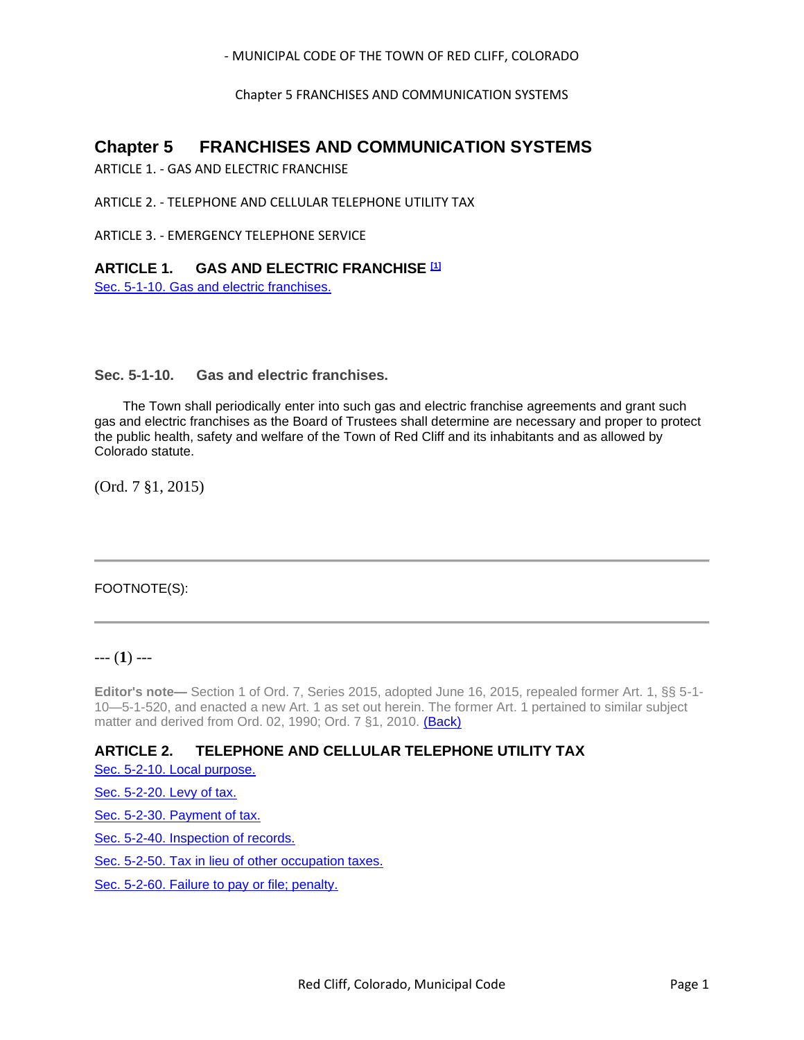- MUNICIPAL CODE OF THE TOWN OF RED CLIFF, COLORADO

Chapter 5 FRANCHISES AND COMMUNICATION SYSTEMS

# **Chapter 5 FRANCHISES AND COMMUNICATION SYSTEMS**

ARTICLE 1. - GAS AND ELECTRIC FRANCHISE

ARTICLE 2. - TELEPHONE AND CELLULAR TELEPHONE UTILITY TAX

ARTICLE 3. - EMERGENCY TELEPHONE SERVICE

## **ARTICLE 1. GAS AND ELECTRIC FRANCHISE [1]**

[Sec. 5-1-10. Gas and electric franchises.](#page-0-0)

<span id="page-0-0"></span>**Sec. 5-1-10. Gas and electric franchises.**

The Town shall periodically enter into such gas and electric franchise agreements and grant such gas and electric franchises as the Board of Trustees shall determine are necessary and proper to protect the public health, safety and welfare of the Town of Red Cliff and its inhabitants and as allowed by Colorado statute.

(Ord. 7 §1, 2015)

# FOOTNOTE(S):

# --- (**1**) ---

**Editor's note—** Section 1 of Ord. 7, Series 2015, adopted June 16, 2015, repealed former Art. 1, §§ 5-1- 10—5-1-520, and enacted a new Art. 1 as set out herein. The former Art. 1 pertained to similar subject matter and derived from Ord. 02, 1990; Ord. 7 §1, 2010. (Back)

# **ARTICLE 2. TELEPHONE AND CELLULAR TELEPHONE UTILITY TAX**

[Sec. 5-2-10. Local purpose.](#page-1-0)

[Sec. 5-2-20. Levy of tax.](#page-1-1)

[Sec. 5-2-30. Payment of tax.](#page-1-2)

[Sec. 5-2-40. Inspection of records.](#page-1-3)

[Sec. 5-2-50. Tax in lieu of other occupation taxes.](#page-1-4)

[Sec. 5-2-60. Failure to pay or file; penalty.](#page-2-0)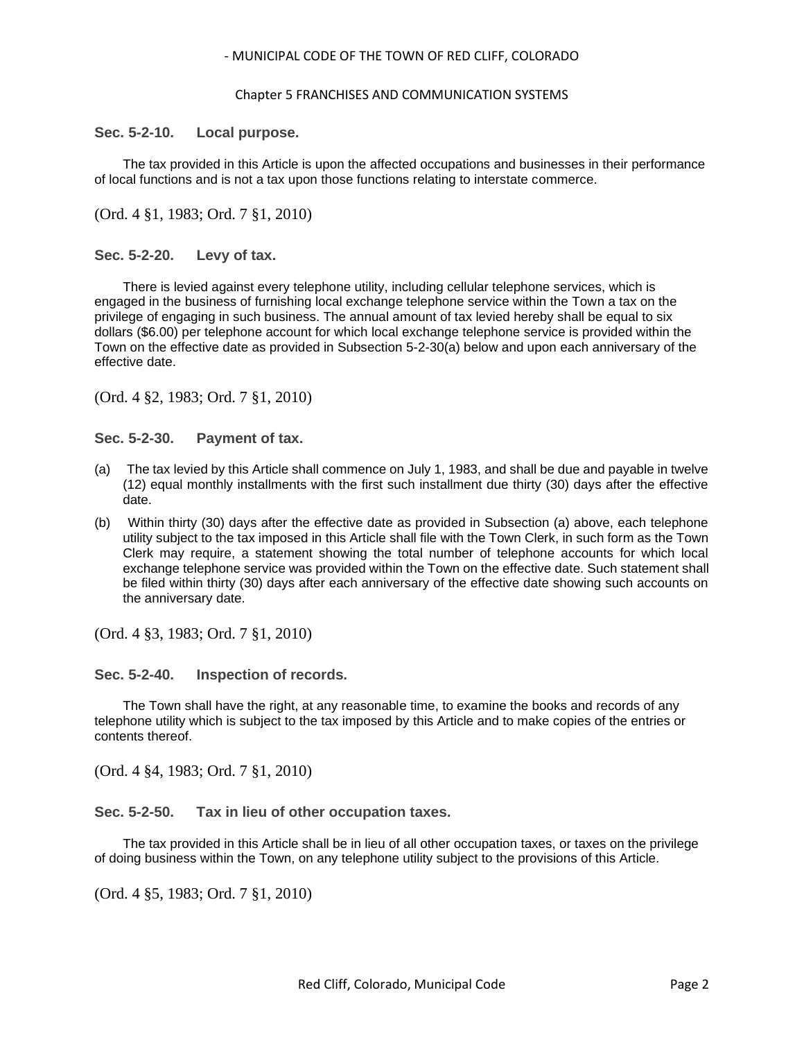#### - MUNICIPAL CODE OF THE TOWN OF RED CLIFF, COLORADO

#### Chapter 5 FRANCHISES AND COMMUNICATION SYSTEMS

### <span id="page-1-0"></span>**Sec. 5-2-10. Local purpose.**

The tax provided in this Article is upon the affected occupations and businesses in their performance of local functions and is not a tax upon those functions relating to interstate commerce.

### (Ord. 4 §1, 1983; Ord. 7 §1, 2010)

### <span id="page-1-1"></span>**Sec. 5-2-20. Levy of tax.**

There is levied against every telephone utility, including cellular telephone services, which is engaged in the business of furnishing local exchange telephone service within the Town a tax on the privilege of engaging in such business. The annual amount of tax levied hereby shall be equal to six dollars (\$6.00) per telephone account for which local exchange telephone service is provided within the Town on the effective date as provided in Subsection 5-2-30(a) below and upon each anniversary of the effective date.

(Ord. 4 §2, 1983; Ord. 7 §1, 2010)

<span id="page-1-2"></span>**Sec. 5-2-30. Payment of tax.**

- (a) The tax levied by this Article shall commence on July 1, 1983, and shall be due and payable in twelve (12) equal monthly installments with the first such installment due thirty (30) days after the effective date.
- (b) Within thirty (30) days after the effective date as provided in Subsection (a) above, each telephone utility subject to the tax imposed in this Article shall file with the Town Clerk, in such form as the Town Clerk may require, a statement showing the total number of telephone accounts for which local exchange telephone service was provided within the Town on the effective date. Such statement shall be filed within thirty (30) days after each anniversary of the effective date showing such accounts on the anniversary date.

(Ord. 4 §3, 1983; Ord. 7 §1, 2010)

<span id="page-1-3"></span>**Sec. 5-2-40. Inspection of records.**

The Town shall have the right, at any reasonable time, to examine the books and records of any telephone utility which is subject to the tax imposed by this Article and to make copies of the entries or contents thereof.

(Ord. 4 §4, 1983; Ord. 7 §1, 2010)

<span id="page-1-4"></span>**Sec. 5-2-50. Tax in lieu of other occupation taxes.**

The tax provided in this Article shall be in lieu of all other occupation taxes, or taxes on the privilege of doing business within the Town, on any telephone utility subject to the provisions of this Article.

(Ord. 4 §5, 1983; Ord. 7 §1, 2010)